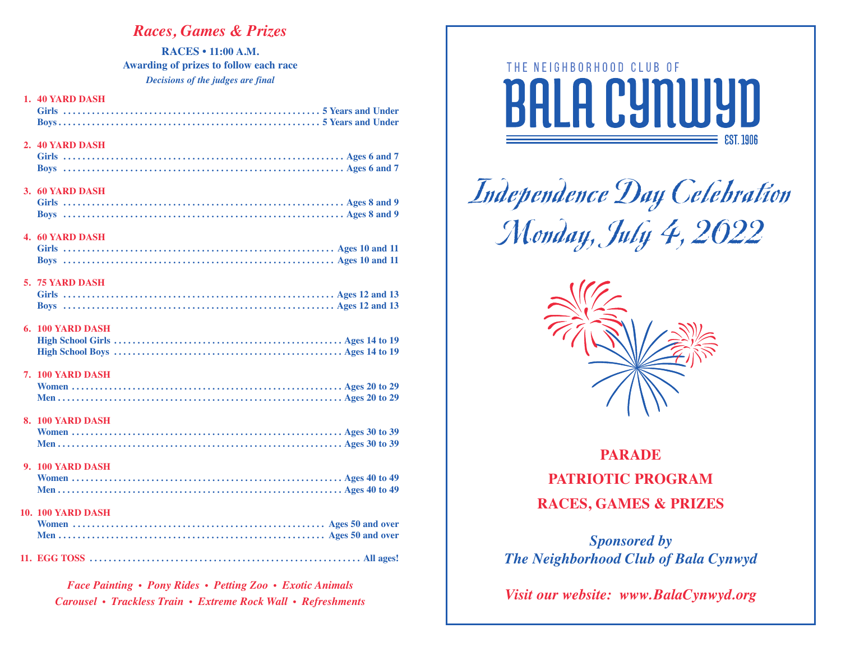# *Races, Games & Prizes*

**RACES • 11:00 A.M. Awarding of prizes to follow each race** *Decisions of the judges are final* 

| 1. 40 YARD DASH          |
|--------------------------|
| 2. 40 YARD DASH          |
| 3. 60 YARD DASH          |
| <b>4. 60 YARD DASH</b>   |
| 5. 75 YARD DASH          |
| 6. 100 YARD DASH         |
| <b>7. 100 YARD DASH</b>  |
| 8. 100 YARD DASH         |
| 9. 100 YARD DASH         |
| <b>10. 100 YARD DASH</b> |
|                          |

*Face Painting • Pony Rides • Petting Zoo • Exotic Animals Carousel • Trackless Train • Extreme Rock Wall • Refreshments*



Independence Day Celebration Monday, July 4, 2022



**PARADE PATRIOTIC PROGRAM RACES, GAMES & PRIZES**

*Sponsored by The Neighborhood Club of Bala Cynwyd*

*Visit our website: www.BalaCynwyd.org*